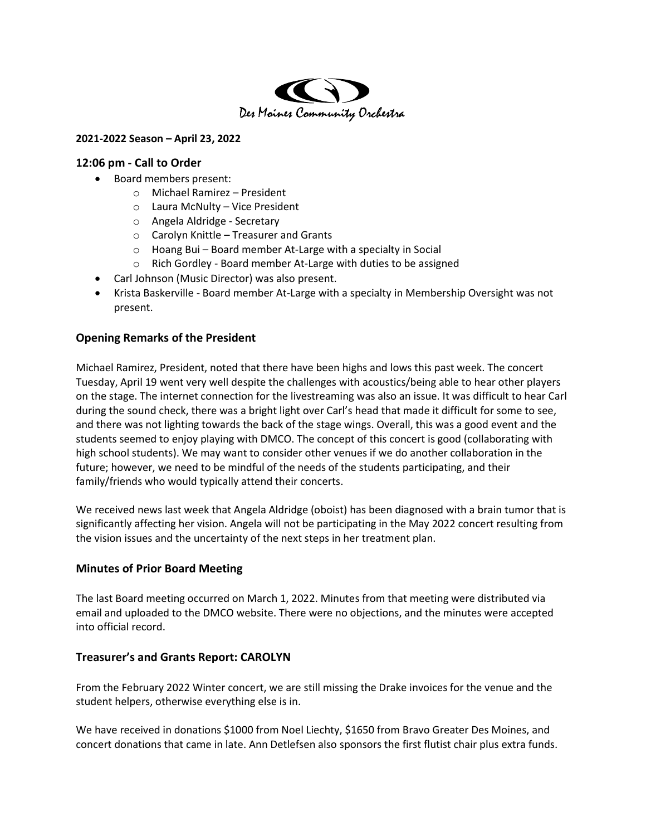

#### 2021-2022 Season – April 23, 2022

#### 12:06 pm - Call to Order

- Board members present:
	- o Michael Ramirez President
	- o Laura McNulty Vice President
	- o Angela Aldridge Secretary
	- o Carolyn Knittle Treasurer and Grants
	- o Hoang Bui Board member At-Large with a specialty in Social
	- o Rich Gordley Board member At-Large with duties to be assigned
- Carl Johnson (Music Director) was also present.
- Krista Baskerville Board member At-Large with a specialty in Membership Oversight was not present.

## Opening Remarks of the President

Michael Ramirez, President, noted that there have been highs and lows this past week. The concert Tuesday, April 19 went very well despite the challenges with acoustics/being able to hear other players on the stage. The internet connection for the livestreaming was also an issue. It was difficult to hear Carl during the sound check, there was a bright light over Carl's head that made it difficult for some to see, and there was not lighting towards the back of the stage wings. Overall, this was a good event and the students seemed to enjoy playing with DMCO. The concept of this concert is good (collaborating with high school students). We may want to consider other venues if we do another collaboration in the future; however, we need to be mindful of the needs of the students participating, and their family/friends who would typically attend their concerts.

We received news last week that Angela Aldridge (oboist) has been diagnosed with a brain tumor that is significantly affecting her vision. Angela will not be participating in the May 2022 concert resulting from the vision issues and the uncertainty of the next steps in her treatment plan.

## Minutes of Prior Board Meeting

The last Board meeting occurred on March 1, 2022. Minutes from that meeting were distributed via email and uploaded to the DMCO website. There were no objections, and the minutes were accepted into official record.

## Treasurer's and Grants Report: CAROLYN

From the February 2022 Winter concert, we are still missing the Drake invoices for the venue and the student helpers, otherwise everything else is in.

We have received in donations \$1000 from Noel Liechty, \$1650 from Bravo Greater Des Moines, and concert donations that came in late. Ann Detlefsen also sponsors the first flutist chair plus extra funds.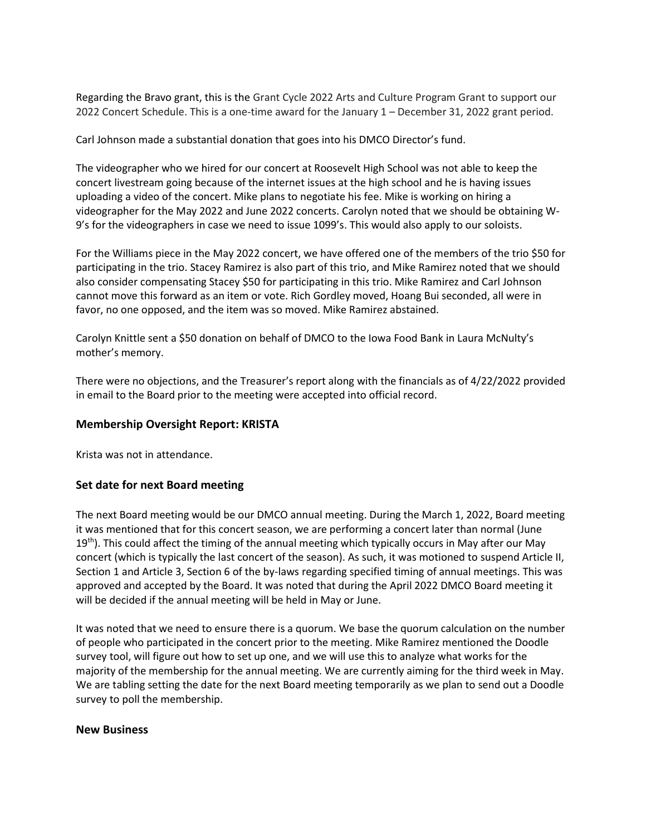Regarding the Bravo grant, this is the Grant Cycle 2022 Arts and Culture Program Grant to support our 2022 Concert Schedule. This is a one-time award for the January 1 – December 31, 2022 grant period.

Carl Johnson made a substantial donation that goes into his DMCO Director's fund.

The videographer who we hired for our concert at Roosevelt High School was not able to keep the concert livestream going because of the internet issues at the high school and he is having issues uploading a video of the concert. Mike plans to negotiate his fee. Mike is working on hiring a videographer for the May 2022 and June 2022 concerts. Carolyn noted that we should be obtaining W-9's for the videographers in case we need to issue 1099's. This would also apply to our soloists.

For the Williams piece in the May 2022 concert, we have offered one of the members of the trio \$50 for participating in the trio. Stacey Ramirez is also part of this trio, and Mike Ramirez noted that we should also consider compensating Stacey \$50 for participating in this trio. Mike Ramirez and Carl Johnson cannot move this forward as an item or vote. Rich Gordley moved, Hoang Bui seconded, all were in favor, no one opposed, and the item was so moved. Mike Ramirez abstained.

Carolyn Knittle sent a \$50 donation on behalf of DMCO to the Iowa Food Bank in Laura McNulty's mother's memory.

There were no objections, and the Treasurer's report along with the financials as of 4/22/2022 provided in email to the Board prior to the meeting were accepted into official record.

# Membership Oversight Report: KRISTA

Krista was not in attendance.

# Set date for next Board meeting

The next Board meeting would be our DMCO annual meeting. During the March 1, 2022, Board meeting it was mentioned that for this concert season, we are performing a concert later than normal (June  $19<sup>th</sup>$ ). This could affect the timing of the annual meeting which typically occurs in May after our May concert (which is typically the last concert of the season). As such, it was motioned to suspend Article II, Section 1 and Article 3, Section 6 of the by-laws regarding specified timing of annual meetings. This was approved and accepted by the Board. It was noted that during the April 2022 DMCO Board meeting it will be decided if the annual meeting will be held in May or June.

It was noted that we need to ensure there is a quorum. We base the quorum calculation on the number of people who participated in the concert prior to the meeting. Mike Ramirez mentioned the Doodle survey tool, will figure out how to set up one, and we will use this to analyze what works for the majority of the membership for the annual meeting. We are currently aiming for the third week in May. We are tabling setting the date for the next Board meeting temporarily as we plan to send out a Doodle survey to poll the membership.

#### New Business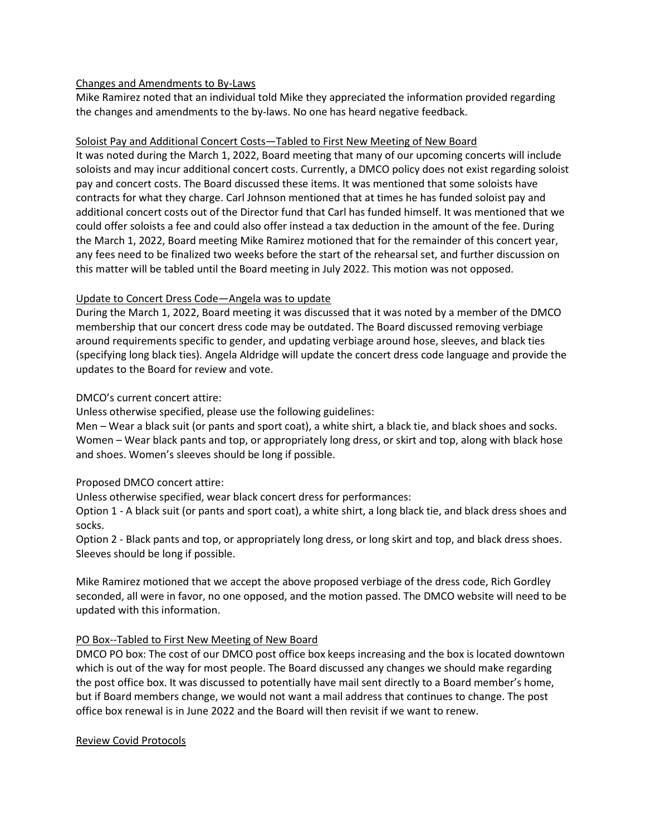#### Changes and Amendments to By-Laws

Mike Ramirez noted that an individual told Mike they appreciated the information provided regarding the changes and amendments to the by-laws. No one has heard negative feedback.

#### Soloist Pay and Additional Concert Costs—Tabled to First New Meeting of New Board

It was noted during the March 1, 2022, Board meeting that many of our upcoming concerts will include soloists and may incur additional concert costs. Currently, a DMCO policy does not exist regarding soloist pay and concert costs. The Board discussed these items. It was mentioned that some soloists have contracts for what they charge. Carl Johnson mentioned that at times he has funded soloist pay and additional concert costs out of the Director fund that Carl has funded himself. It was mentioned that we could offer soloists a fee and could also offer instead a tax deduction in the amount of the fee. During the March 1, 2022, Board meeting Mike Ramirez motioned that for the remainder of this concert year, any fees need to be finalized two weeks before the start of the rehearsal set, and further discussion on this matter will be tabled until the Board meeting in July 2022. This motion was not opposed.

## Update to Concert Dress Code—Angela was to update

During the March 1, 2022, Board meeting it was discussed that it was noted by a member of the DMCO membership that our concert dress code may be outdated. The Board discussed removing verbiage around requirements specific to gender, and updating verbiage around hose, sleeves, and black ties (specifying long black ties). Angela Aldridge will update the concert dress code language and provide the updates to the Board for review and vote.

## DMCO's current concert attire:

Unless otherwise specified, please use the following guidelines:

Men – Wear a black suit (or pants and sport coat), a white shirt, a black tie, and black shoes and socks. Women – Wear black pants and top, or appropriately long dress, or skirt and top, along with black hose and shoes. Women's sleeves should be long if possible.

#### Proposed DMCO concert attire:

Unless otherwise specified, wear black concert dress for performances:

Option 1 - A black suit (or pants and sport coat), a white shirt, a long black tie, and black dress shoes and socks.

Option 2 - Black pants and top, or appropriately long dress, or long skirt and top, and black dress shoes. Sleeves should be long if possible.

Mike Ramirez motioned that we accept the above proposed verbiage of the dress code, Rich Gordley seconded, all were in favor, no one opposed, and the motion passed. The DMCO website will need to be updated with this information.

## PO Box--Tabled to First New Meeting of New Board

DMCO PO box: The cost of our DMCO post office box keeps increasing and the box is located downtown which is out of the way for most people. The Board discussed any changes we should make regarding the post office box. It was discussed to potentially have mail sent directly to a Board member's home, but if Board members change, we would not want a mail address that continues to change. The post office box renewal is in June 2022 and the Board will then revisit if we want to renew.

#### Review Covid Protocols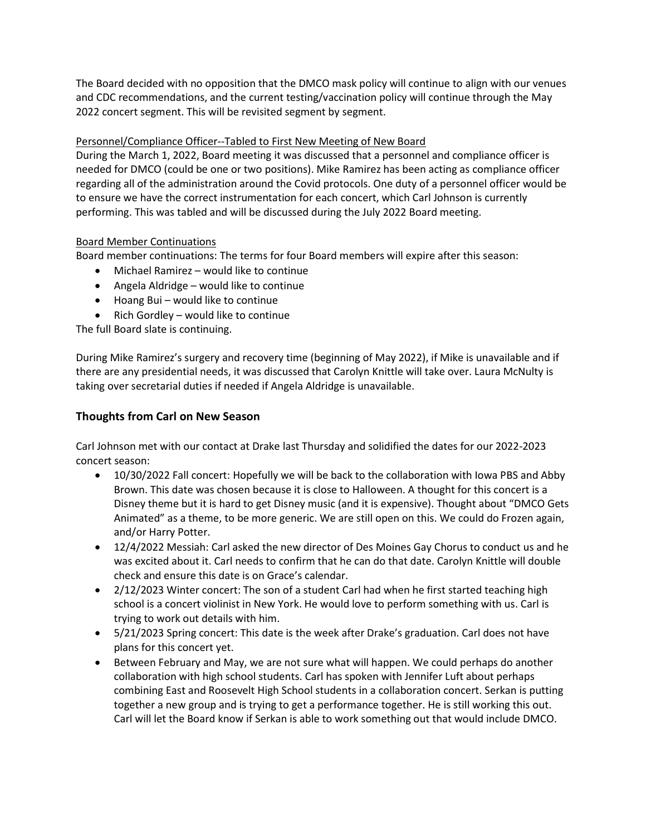The Board decided with no opposition that the DMCO mask policy will continue to align with our venues and CDC recommendations, and the current testing/vaccination policy will continue through the May 2022 concert segment. This will be revisited segment by segment.

# Personnel/Compliance Officer--Tabled to First New Meeting of New Board

During the March 1, 2022, Board meeting it was discussed that a personnel and compliance officer is needed for DMCO (could be one or two positions). Mike Ramirez has been acting as compliance officer regarding all of the administration around the Covid protocols. One duty of a personnel officer would be to ensure we have the correct instrumentation for each concert, which Carl Johnson is currently performing. This was tabled and will be discussed during the July 2022 Board meeting.

## Board Member Continuations

Board member continuations: The terms for four Board members will expire after this season:

- Michael Ramirez would like to continue
- Angela Aldridge would like to continue
- Hoang Bui would like to continue
- Rich Gordley would like to continue

The full Board slate is continuing.

During Mike Ramirez's surgery and recovery time (beginning of May 2022), if Mike is unavailable and if there are any presidential needs, it was discussed that Carolyn Knittle will take over. Laura McNulty is taking over secretarial duties if needed if Angela Aldridge is unavailable.

# Thoughts from Carl on New Season

Carl Johnson met with our contact at Drake last Thursday and solidified the dates for our 2022-2023 concert season:

- 10/30/2022 Fall concert: Hopefully we will be back to the collaboration with Iowa PBS and Abby Brown. This date was chosen because it is close to Halloween. A thought for this concert is a Disney theme but it is hard to get Disney music (and it is expensive). Thought about "DMCO Gets Animated" as a theme, to be more generic. We are still open on this. We could do Frozen again, and/or Harry Potter.
- 12/4/2022 Messiah: Carl asked the new director of Des Moines Gay Chorus to conduct us and he was excited about it. Carl needs to confirm that he can do that date. Carolyn Knittle will double check and ensure this date is on Grace's calendar.
- 2/12/2023 Winter concert: The son of a student Carl had when he first started teaching high school is a concert violinist in New York. He would love to perform something with us. Carl is trying to work out details with him.
- 5/21/2023 Spring concert: This date is the week after Drake's graduation. Carl does not have plans for this concert yet.
- Between February and May, we are not sure what will happen. We could perhaps do another collaboration with high school students. Carl has spoken with Jennifer Luft about perhaps combining East and Roosevelt High School students in a collaboration concert. Serkan is putting together a new group and is trying to get a performance together. He is still working this out. Carl will let the Board know if Serkan is able to work something out that would include DMCO.